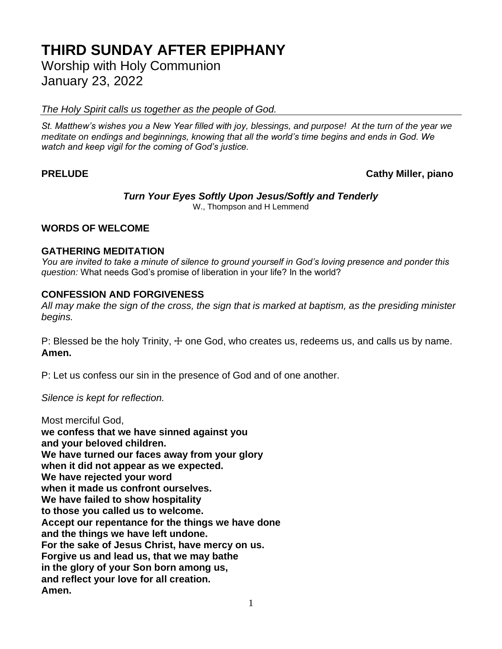# **THIRD SUNDAY AFTER EPIPHANY**

Worship with Holy Communion January 23, 2022

*The Holy Spirit calls us together as the people of God.*

*St. Matthew's wishes you a New Year filled with joy, blessings, and purpose! At the turn of the year we meditate on endings and beginnings, knowing that all the world's time begins and ends in God. We watch and keep vigil for the coming of God's justice.*

### **PRELUDE Cathy Miller, piano**

#### *Turn Your Eyes Softly Upon Jesus/Softly and Tenderly* W., Thompson and H Lemmend

#### **WORDS OF WELCOME**

#### **GATHERING MEDITATION**

*You are invited to take a minute of silence to ground yourself in God's loving presence and ponder this question:* What needs God's promise of liberation in your life? In the world?

#### **CONFESSION AND FORGIVENESS**

*All may make the sign of the cross, the sign that is marked at baptism, as the presiding minister begins.*

P: Blessed be the holy Trinity,  $\pm$  one God, who creates us, redeems us, and calls us by name. **Amen.**

P: Let us confess our sin in the presence of God and of one another.

*Silence is kept for reflection.*

Most merciful God, **we confess that we have sinned against you and your beloved children. We have turned our faces away from your glory when it did not appear as we expected. We have rejected your word when it made us confront ourselves. We have failed to show hospitality to those you called us to welcome. Accept our repentance for the things we have done and the things we have left undone. For the sake of Jesus Christ, have mercy on us. Forgive us and lead us, that we may bathe in the glory of your Son born among us, and reflect your love for all creation. Amen.**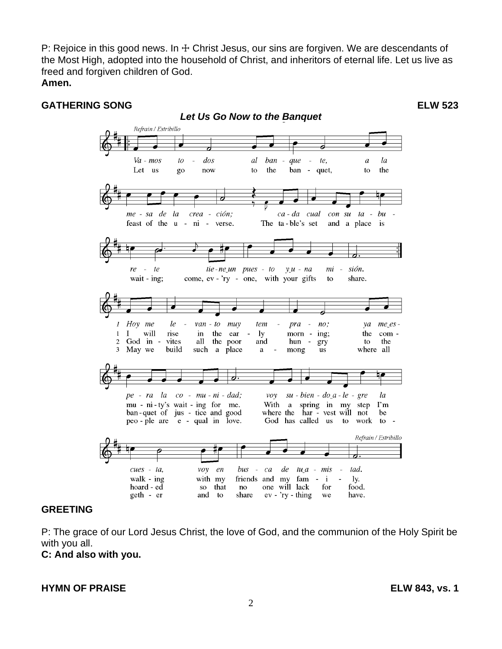P: Rejoice in this good news. In  $+$  Christ Jesus, our sins are forgiven. We are descendants of the Most High, adopted into the household of Christ, and inheritors of eternal life. Let us live as freed and forgiven children of God. **Amen.**

#### **GATHERING SONG ELW 523**

*Let Us Go Now to the Banquet* Refrain / Estribillo  $Va$  -  $mos$ dos al ban la  $to$  $\mathbb{Z}$ aue  $\mathbb{L}$ te.  $\overline{a}$ Let us the ban  $\sim$ the go now  $\mathbf{t}$ quet, to crea - ción; me - sa de la ca-da cual  $con$   $su$   $ta$   $$ bu feast of the u - ni - verse. The ta-ble's set and a place is re  $\overline{a}$ te tie-ne\_un pues - to  $y\mu$  -  $na$ mi sión. wait - ing; come, ev - 'ry - one, with your gifts to share.  $\bar{l}$  $no:$ Hoy me le  $van - to$   $mu$ tem pra  $\mathcal{V}a$  $me\_es$  - $\mathbf 1$  $\mathbf I$ will the  $1y$ ing; the com rise in ear morn - $\overline{c}$ God in vites all the poor and hun to the gry 3 May we build where all such a place  $a$  $\overline{a}$ mong **us** , pe - ra la  $co$  -  $mu$  -  $ni$  -  $dad$ ; voy  $su - bien - do a - le - gre$ la mu - ni - ty's wait - ing for me. With a spring in my step  $\Gamma$ m where the har - vest will not ban-quet of jus - tice and good he God has called us to work to peo-ple are e - qual in love. Refrain / Estribillo  $cues - ta$ , voy en  $bus$  -  $ca$ de  $tu_a - mis$ tad.  $\sim$ walk -  $ing$ with my friends and my fam  $-$  i  $1y.$ hoard - ed food. so that no one will lack for geth - er and to share  $ev - *ry* - thing$ we have.

#### **GREETING**

P: The grace of our Lord Jesus Christ, the love of God, and the communion of the Holy Spirit be with you all.

**C: And also with you.**

#### **HYMN OF PRAISE ELW 843, vs. 1**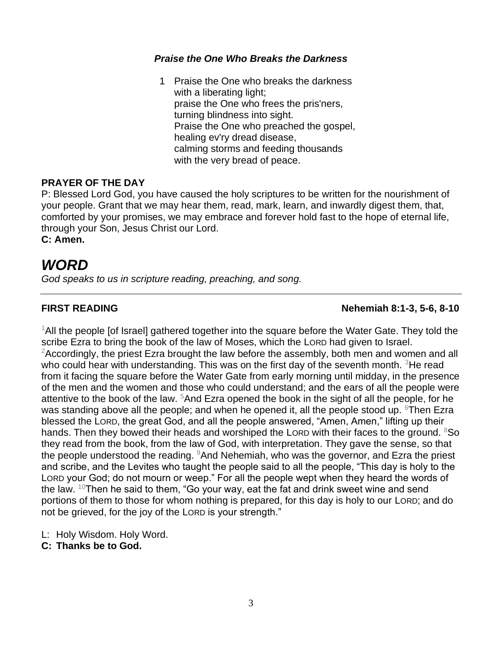#### *Praise the One Who Breaks the Darkness*

1 Praise the One who breaks the darkness with a liberating light; praise the One who frees the pris'ners, turning blindness into sight. Praise the One who preached the gospel, healing ev'ry dread disease, calming storms and feeding thousands with the very bread of peace.

#### **PRAYER OF THE DAY**

P: Blessed Lord God, you have caused the holy scriptures to be written for the nourishment of your people. Grant that we may hear them, read, mark, learn, and inwardly digest them, that, comforted by your promises, we may embrace and forever hold fast to the hope of eternal life, through your Son, Jesus Christ our Lord.

**C: Amen.**

## *WORD*

*God speaks to us in scripture reading, preaching, and song.*

### **FIRST READING Nehemiah 8:1-3, 5-6, 8-10**

 $1$ All the people [of Israel] gathered together into the square before the Water Gate. They told the scribe Ezra to bring the book of the law of Moses, which the LORD had given to Israel. <sup>2</sup>Accordingly, the priest Ezra brought the law before the assembly, both men and women and all who could hear with understanding. This was on the first day of the seventh month.  $3$ He read from it facing the square before the Water Gate from early morning until midday, in the presence of the men and the women and those who could understand; and the ears of all the people were attentive to the book of the law.  $5$ And Ezra opened the book in the sight of all the people, for he was standing above all the people; and when he opened it, all the people stood up.  $6$ Then Ezra blessed the LORD, the great God, and all the people answered, "Amen, Amen," lifting up their hands. Then they bowed their heads and worshiped the LORD with their faces to the ground.  $8$ So they read from the book, from the law of God, with interpretation. They gave the sense, so that the people understood the reading.  $9$ And Nehemiah, who was the governor, and Ezra the priest and scribe, and the Levites who taught the people said to all the people, "This day is holy to the LORD your God; do not mourn or weep." For all the people wept when they heard the words of the law.  $10$ Then he said to them, "Go your way, eat the fat and drink sweet wine and send portions of them to those for whom nothing is prepared, for this day is holy to our LORD; and do not be grieved, for the joy of the LORD is your strength."

L: Holy Wisdom. Holy Word.

**C: Thanks be to God.**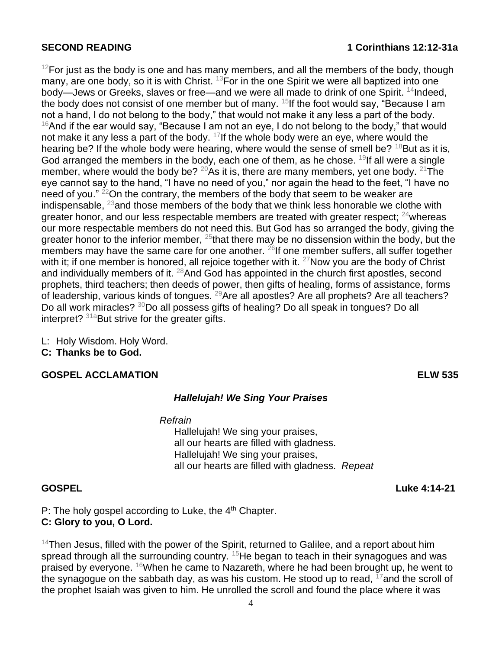#### **SECOND READING 1 Corinthians 12:12-31a**

 $12$ For just as the body is one and has many members, and all the members of the body, though many, are one body, so it is with Christ.  $^{13}$  For in the one Spirit we were all baptized into one body—Jews or Greeks, slaves or free—and we were all made to drink of one Spirit. <sup>14</sup>Indeed, the body does not consist of one member but of many.  $15$  If the foot would say, "Because I am not a hand, I do not belong to the body," that would not make it any less a part of the body.  $16$ And if the ear would say, "Because I am not an eye, I do not belong to the body," that would not make it any less a part of the body.  $17$  If the whole body were an eye, where would the hearing be? If the whole body were hearing, where would the sense of smell be?  $18$ But as it is, God arranged the members in the body, each one of them, as he chose.  $19$ If all were a single member, where would the body be?  $20\text{As}$  it is, there are many members, yet one body.  $21\text{The}$ eye cannot say to the hand, "I have no need of you," nor again the head to the feet, "I have no need of you."  $22$ On the contrary, the members of the body that seem to be weaker are indispensable,  $^{23}$  and those members of the body that we think less honorable we clothe with greater honor, and our less respectable members are treated with greater respect;  $24$  whereas our more respectable members do not need this. But God has so arranged the body, giving the greater honor to the inferior member,  $25$  that there may be no dissension within the body, but the members may have the same care for one another.  $26$ If one member suffers, all suffer together with it; if one member is honored, all rejoice together with it.  $27$ Now you are the body of Christ and individually members of it.  $^{28}$ And God has appointed in the church first apostles, second prophets, third teachers; then deeds of power, then gifts of healing, forms of assistance, forms of leadership, various kinds of tongues. <sup>29</sup>Are all apostles? Are all prophets? Are all teachers? Do all work miracles? <sup>30</sup>Do all possess gifts of healing? Do all speak in tongues? Do all interpret?  $31a$ But strive for the greater gifts.

L: Holy Wisdom. Holy Word. **C: Thanks be to God.**

#### **GOSPEL ACCLAMATION ELW 535**

#### *Hallelujah! We Sing Your Praises*

*Refrain*

Hallelujah! We sing your praises, all our hearts are filled with gladness. Hallelujah! We sing your praises, all our hearts are filled with gladness. *Repeat*

P: The holy gospel according to Luke, the  $4<sup>th</sup>$  Chapter. **C: Glory to you, O Lord.**

 $14$ Then Jesus, filled with the power of the Spirit, returned to Galilee, and a report about him spread through all the surrounding country.  $15$ He began to teach in their synagogues and was praised by everyone. <sup>16</sup>When he came to Nazareth, where he had been brought up, he went to the synagogue on the sabbath day, as was his custom. He stood up to read,  $17$  and the scroll of the prophet Isaiah was given to him. He unrolled the scroll and found the place where it was

**GOSPEL Luke 4:14-21**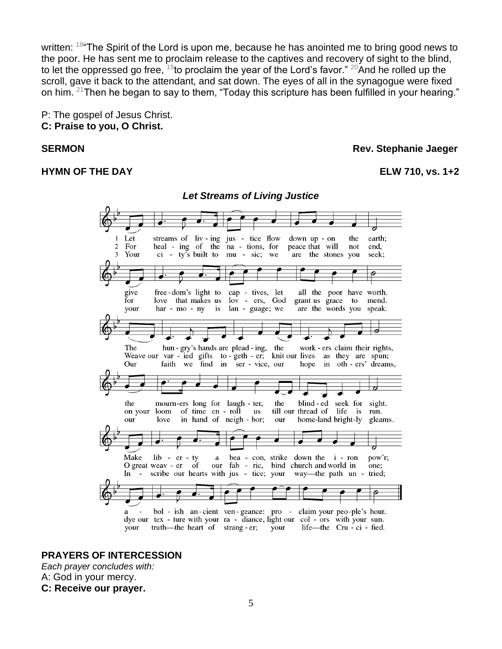written: <sup>18</sup> The Spirit of the Lord is upon me, because he has anointed me to bring good news to the poor. He has sent me to proclaim release to the captives and recovery of sight to the blind, to let the oppressed go free,  $19$  to proclaim the year of the Lord's favor."  $20$  And he rolled up the scroll, gave it back to the attendant, and sat down. The eyes of all in the synagogue were fixed on him. <sup>21</sup>Then he began to say to them, "Today this scripture has been fulfilled in your hearing."

P: The gospel of Jesus Christ. **C: Praise to you, O Christ.**

#### **HYMN OF THE DAY ELW 710, vs. 1+2**

#### **SERMON** Rev. Stephanie Jaeger



*Let Streams of Living Justice*

#### **PRAYERS OF INTERCESSION**

*Each prayer concludes with:* A: God in your mercy. **C: Receive our prayer.**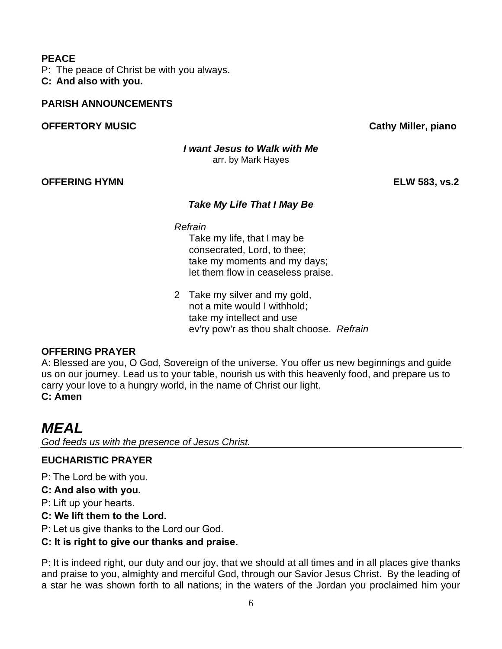#### **PEACE**

P: The peace of Christ be with you always.

**C: And also with you.**

#### **PARISH ANNOUNCEMENTS**

#### **OFFERTORY MUSIC Cathy Miller, piano**

*I want Jesus to Walk with Me* arr. by Mark Hayes

#### **OFFERING HYMN ELW 583, vs.2**

#### *Take My Life That I May Be*

*Refrain*

Take my life, that I may be consecrated, Lord, to thee; take my moments and my days; let them flow in ceaseless praise.

2 Take my silver and my gold, not a mite would I withhold; take my intellect and use ev'ry pow'r as thou shalt choose. *Refrain*

### **OFFERING PRAYER**

A: Blessed are you, O God, Sovereign of the universe. You offer us new beginnings and guide us on our journey. Lead us to your table, nourish us with this heavenly food, and prepare us to carry your love to a hungry world, in the name of Christ our light. **C: Amen**

## *MEAL*

*God feeds us with the presence of Jesus Christ.*

### **EUCHARISTIC PRAYER**

P: The Lord be with you.

**C: And also with you.**

P: Lift up your hearts.

### **C: We lift them to the Lord.**

P: Let us give thanks to the Lord our God.

### **C: It is right to give our thanks and praise.**

P: It is indeed right, our duty and our joy, that we should at all times and in all places give thanks and praise to you, almighty and merciful God, through our Savior Jesus Christ. By the leading of a star he was shown forth to all nations; in the waters of the Jordan you proclaimed him your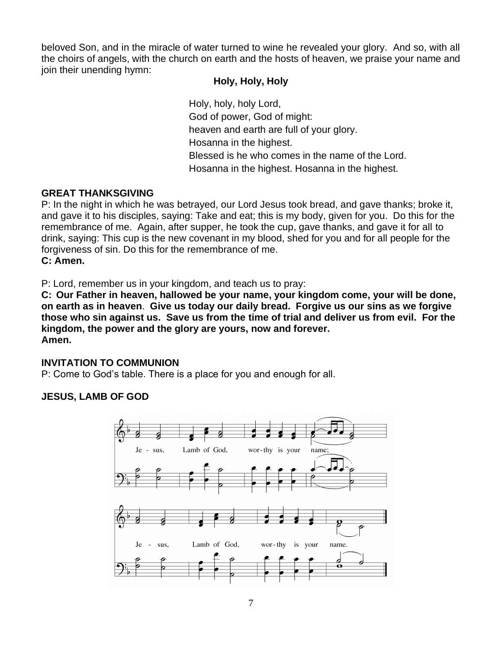beloved Son, and in the miracle of water turned to wine he revealed your glory. And so, with all the choirs of angels, with the church on earth and the hosts of heaven, we praise your name and join their unending hymn:

#### **Holy, Holy, Holy**

Holy, holy, holy Lord, God of power, God of might: heaven and earth are full of your glory. Hosanna in the highest. Blessed is he who comes in the name of the Lord. Hosanna in the highest. Hosanna in the highest.

#### **GREAT THANKSGIVING**

P: In the night in which he was betrayed, our Lord Jesus took bread, and gave thanks; broke it, and gave it to his disciples, saying: Take and eat; this is my body, given for you. Do this for the remembrance of me. Again, after supper, he took the cup, gave thanks, and gave it for all to drink, saying: This cup is the new covenant in my blood, shed for you and for all people for the forgiveness of sin. Do this for the remembrance of me. **C: Amen.**

P: Lord, remember us in your kingdom, and teach us to pray:

**C: Our Father in heaven, hallowed be your name, your kingdom come, your will be done, on earth as in heaven**. **Give us today our daily bread. Forgive us our sins as we forgive those who sin against us. Save us from the time of trial and deliver us from evil. For the kingdom, the power and the glory are yours, now and forever. Amen.**

### **INVITATION TO COMMUNION**

P: Come to God's table. There is a place for you and enough for all.

### **JESUS, LAMB OF GOD**

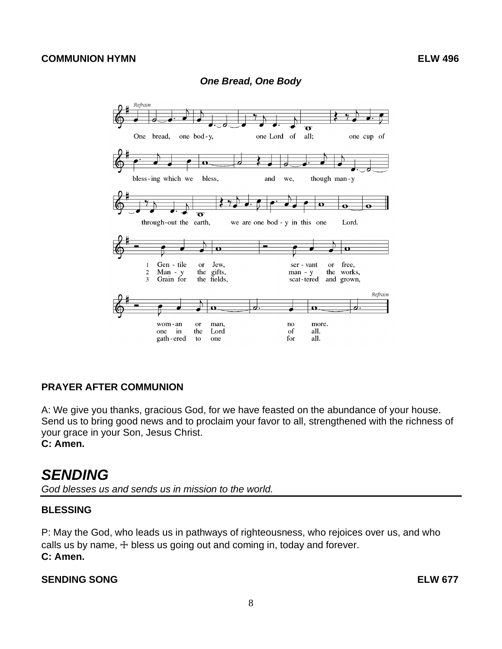#### Refrain ₹  $\overline{\mathcal{A}}$  $\overline{\mathbf{o}}$ one Lord of all; One bread, one bod-y, one cup of Ω bless-ing which we bless, though man-y and we.  $\mathbf o$ Ā  $\overline{\mathbf{o}}$ through-out the earth, we are one bod - y in this one Lord.  $\mathbf{o}$  $\overline{\mathbf{o}}$ Gen - tile free, Jew, ser - vant  $\mathbf{1}$ **or**  $\alpha$ r Man - y<br>Grain for the gifts,<br>the fields,  $\sqrt{2}$ man - y the works,  $\overline{\mathbf{3}}$ scat-tered and grown, Refrain  $\overline{\boldsymbol{c}}$ <u>d.</u>  $\overline{\mathbf{u}}$  $\overline{\mathbf{u}}$ wom-an man,  $\mathbf{n}$ o more. <sub>or</sub> the Lord of all. one in for all. gath-ered to one

#### *One Bread, One Body*

#### **PRAYER AFTER COMMUNION**

A: We give you thanks, gracious God, for we have feasted on the abundance of your house. Send us to bring good news and to proclaim your favor to all, strengthened with the richness of your grace in your Son, Jesus Christ.

**C: Amen.**

## *SENDING*

*God blesses us and sends us in mission to the world.*

#### **BLESSING**

P: May the God, who leads us in pathways of righteousness, who rejoices over us, and who calls us by name,  $+$  bless us going out and coming in, today and forever. **C: Amen.**

#### **SENDING SONG ELW 677**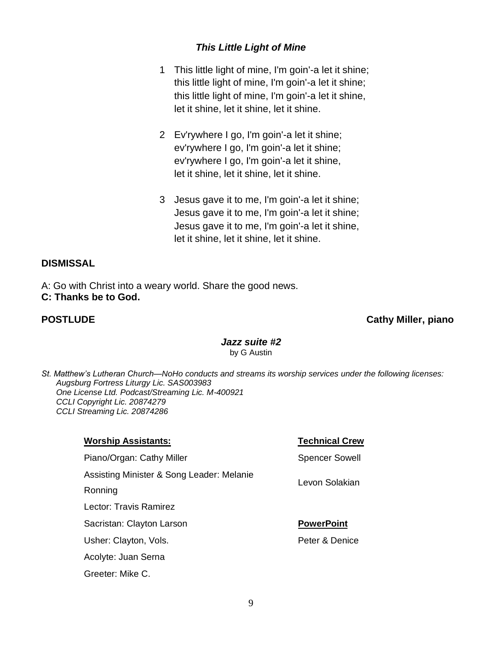### *This Little Light of Mine*

- 1 This little light of mine, I'm goin'-a let it shine; this little light of mine, I'm goin'-a let it shine; this little light of mine, I'm goin'-a let it shine, let it shine, let it shine, let it shine.
- 2 Ev'rywhere I go, I'm goin'-a let it shine; ev'rywhere I go, I'm goin'-a let it shine; ev'rywhere I go, I'm goin'-a let it shine, let it shine, let it shine, let it shine.
- 3 Jesus gave it to me, I'm goin'-a let it shine; Jesus gave it to me, I'm goin'-a let it shine; Jesus gave it to me, I'm goin'-a let it shine, let it shine, let it shine, let it shine.

#### **DISMISSAL**

A: Go with Christ into a weary world. Share the good news. **C: Thanks be to God.**

#### **POSTLUDE Cathy Miller, piano**

#### *Jazz suite #2* by G Austin

*St. Matthew's Lutheran Church—NoHo conducts and streams its worship services under the following licenses: Augsburg Fortress Liturgy Lic. SAS003983 One License Ltd. Podcast/Streaming Lic. M-400921 CCLI Copyright Lic. 20874279 CCLI Streaming Lic. 20874286*

#### **Worship Assistants: Technical Crew**

Piano/Organ: Cathy Miller Spencer Sowell

Assisting Minister & Song Leader: Melanie

Ronning

Lector: Travis Ramirez

Sacristan: Clayton Larson **PowerPoint** 

Usher: Clayton, Vols. **Peter & Denice** Peter & Denice

Acolyte: Juan Serna

Greeter: Mike C.

Levon Solakian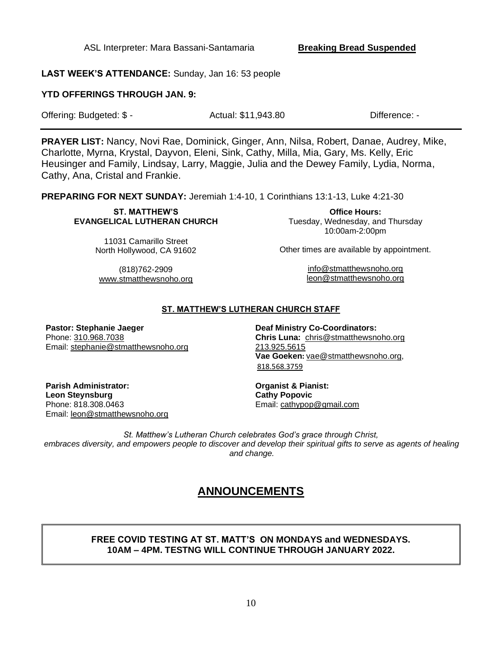ASL Interpreter: Mara Bassani-Santamaria **Breaking Bread Suspended**

**LAST WEEK'S ATTENDANCE:** Sunday, Jan 16: 53 people

#### **YTD OFFERINGS THROUGH JAN. 9:**

| Offering: Budgeted: \$ - | Actual: \$11,943.80 | Difference: - |
|--------------------------|---------------------|---------------|
|--------------------------|---------------------|---------------|

**PRAYER LIST:** Nancy, Novi Rae, Dominick, Ginger, Ann, Nilsa, Robert, Danae, Audrey, Mike, Charlotte, Myrna, Krystal, Dayvon, Eleni, Sink, Cathy, Milla, Mia, Gary, Ms. Kelly, Eric Heusinger and Family, Lindsay, Larry, Maggie, Julia and the Dewey Family, Lydia, Norma, Cathy, Ana, Cristal and Frankie.

**PREPARING FOR NEXT SUNDAY:** Jeremiah 1:4-10, 1 Corinthians 13:1-13, Luke 4:21-30

#### **ST. MATTHEW'S EVANGELICAL LUTHERAN CHURCH**

11031 Camarillo Street North Hollywood, CA 91602

**Office Hours:** Tuesday, Wednesday, and Thursday 10:00am-2:00pm

Other times are available by appointment.

[info@stmatthewsnoho.org](mailto:info@stmatthewsnoho.org) [leon@stmatthewsnoho.org](mailto:leon@stmatthewsnoho.org)

(818)762-2909 [www.stmatthewsnoho.org](http://www.stmatthewsnoho.org/)

## **ST. MATTHEW'S LUTHERAN CHURCH STAFF**

**Pastor: Stephanie Jaeger** Phone: [310.968.7038](tel:310.968.7038) Email: stephanie@stmatthewsnoho.org

**Deaf Ministry Co-Coordinators: Chris Luna:** chris@stmatthewsnoho.org 213.925.5615 **Vae Goeken:** vae@stmatthewsnoho.org, 818.568.3759

**Parish Administrator: Leon Steynsburg** Phone: 818.308.0463 Email: [leon@stmatthewsnoho.org](mailto:leon@stmatthewsnoho.org) **Organist & Pianist: Cathy Popovic** Email: cathypop@gmail.com

*St. Matthew's Lutheran Church celebrates God's grace through Christ,* embraces diversity, and empowers people to discover and develop their spiritual gifts to serve as agents of healing *and change.*

## **ANNOUNCEMENTS**

#### **FREE COVID TESTING AT ST. MATT'S ON MONDAYS and WEDNESDAYS. 10AM – 4PM. TESTNG WILL CONTINUE THROUGH JANUARY 2022.**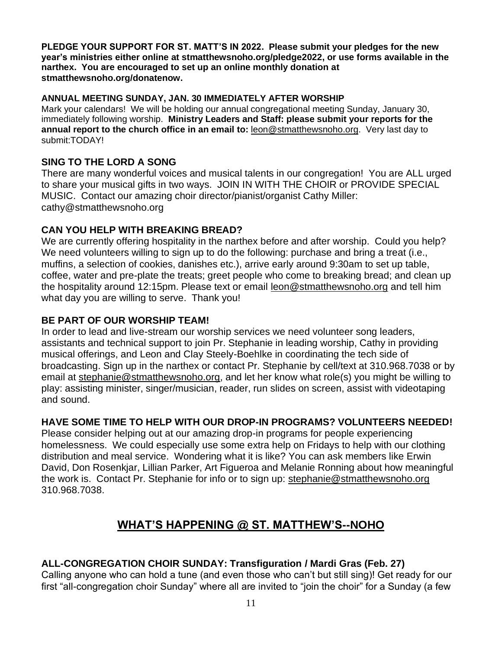**PLEDGE YOUR SUPPORT FOR ST. MATT'S IN 2022. Please submit your pledges for the new year's ministries either online at stmatthewsnoho.org/pledge2022, or use forms available in the narthex. You are encouraged to set up an online monthly donation at stmatthewsnoho.org/donatenow.**

#### **ANNUAL MEETING SUNDAY, JAN. 30 IMMEDIATELY AFTER WORSHIP**

Mark your calendars! We will be holding our annual congregational meeting Sunday, January 30, immediately following worship. **Ministry Leaders and Staff: please submit your reports for the annual report to the church office in an email to:** [leon@stmatthewsnoho.org.](mailto:leon@stmatthewsnoho.org) Very last day to submit:TODAY!

#### **SING TO THE LORD A SONG**

There are many wonderful voices and musical talents in our congregation! You are ALL urged to share your musical gifts in two ways. JOIN IN WITH THE CHOIR or PROVIDE SPECIAL MUSIC. Contact our amazing choir director/pianist/organist Cathy Miller: cathy@stmatthewsnoho.org

#### **CAN YOU HELP WITH BREAKING BREAD?**

We are currently offering hospitality in the narthex before and after worship. Could you help? We need volunteers willing to sign up to do the following: purchase and bring a treat (i.e., muffins, a selection of cookies, danishes etc.), arrive early around 9:30am to set up table, coffee, water and pre-plate the treats; greet people who come to breaking bread; and clean up the hospitality around 12:15pm. Please text or email [leon@stmatthewsnoho.org](mailto:leon@stmatthewsnoho.org) and tell him what day you are willing to serve. Thank you!

#### **BE PART OF OUR WORSHIP TEAM!**

In order to lead and live-stream our worship services we need volunteer song leaders, assistants and technical support to join Pr. Stephanie in leading worship, Cathy in providing musical offerings, and Leon and Clay Steely-Boehlke in coordinating the tech side of broadcasting. Sign up in the narthex or contact Pr. Stephanie by cell/text at 310.968.7038 or by email at [stephanie@stmatthewsnoho.org,](mailto:stephanie@stmatthewsnoho.org) and let her know what role(s) you might be willing to play: assisting minister, singer/musician, reader, run slides on screen, assist with videotaping and sound.

#### **HAVE SOME TIME TO HELP WITH OUR DROP-IN PROGRAMS? VOLUNTEERS NEEDED!**

Please consider helping out at our amazing drop-in programs for people experiencing homelessness. We could especially use some extra help on Fridays to help with our clothing distribution and meal service. Wondering what it is like? You can ask members like Erwin David, Don Rosenkjar, Lillian Parker, Art Figueroa and Melanie Ronning about how meaningful the work is. Contact Pr. Stephanie for info or to sign up: [stephanie@stmatthewsnoho.org](mailto:stephanie@stmatthewsnoho.org)  310.968.7038.

## **WHAT'S HAPPENING @ ST. MATTHEW'S--NOHO**

### **ALL-CONGREGATION CHOIR SUNDAY: Transfiguration / Mardi Gras (Feb. 27)**

Calling anyone who can hold a tune (and even those who can't but still sing)! Get ready for our first "all-congregation choir Sunday" where all are invited to "join the choir" for a Sunday (a few